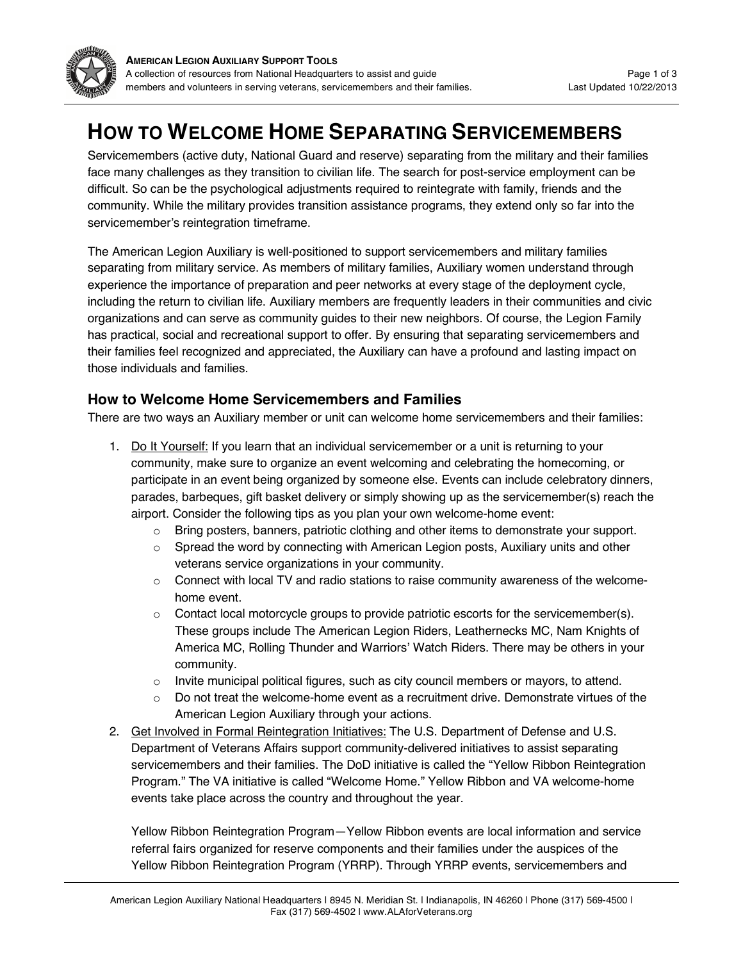

# **HOW TO WELCOME HOME SEPARATING SERVICEMEMBERS**

Servicemembers (active duty, National Guard and reserve) separating from the military and their families face many challenges as they transition to civilian life. The search for post-service employment can be difficult. So can be the psychological adjustments required to reintegrate with family, friends and the community. While the military provides transition assistance programs, they extend only so far into the servicemember's reintegration timeframe.

The American Legion Auxiliary is well-positioned to support servicemembers and military families separating from military service. As members of military families, Auxiliary women understand through experience the importance of preparation and peer networks at every stage of the deployment cycle, including the return to civilian life. Auxiliary members are frequently leaders in their communities and civic organizations and can serve as community guides to their new neighbors. Of course, the Legion Family has practical, social and recreational support to offer. By ensuring that separating servicemembers and their families feel recognized and appreciated, the Auxiliary can have a profound and lasting impact on those individuals and families.

## **How to Welcome Home Servicemembers and Families**

There are two ways an Auxiliary member or unit can welcome home servicemembers and their families:

- 1. Do It Yourself: If you learn that an individual servicemember or a unit is returning to your community, make sure to organize an event welcoming and celebrating the homecoming, or participate in an event being organized by someone else. Events can include celebratory dinners, parades, barbeques, gift basket delivery or simply showing up as the servicemember(s) reach the airport. Consider the following tips as you plan your own welcome-home event:
	- o Bring posters, banners, patriotic clothing and other items to demonstrate your support.
	- $\circ$  Spread the word by connecting with American Legion posts, Auxiliary units and other veterans service organizations in your community.
	- $\circ$  Connect with local TV and radio stations to raise community awareness of the welcomehome event.
	- o Contact local motorcycle groups to provide patriotic escorts for the servicemember(s). These groups include The American Legion Riders, Leathernecks MC, Nam Knights of America MC, Rolling Thunder and Warriors' Watch Riders. There may be others in your community.
	- $\circ$  Invite municipal political figures, such as city council members or mayors, to attend.
	- $\circ$  Do not treat the welcome-home event as a recruitment drive. Demonstrate virtues of the American Legion Auxiliary through your actions.
- 2. Get Involved in Formal Reintegration Initiatives: The U.S. Department of Defense and U.S. Department of Veterans Affairs support community-delivered initiatives to assist separating servicemembers and their families. The DoD initiative is called the "Yellow Ribbon Reintegration Program." The VA initiative is called "Welcome Home." Yellow Ribbon and VA welcome-home events take place across the country and throughout the year.

Yellow Ribbon Reintegration Program—Yellow Ribbon events are local information and service referral fairs organized for reserve components and their families under the auspices of the Yellow Ribbon Reintegration Program (YRRP). Through YRRP events, servicemembers and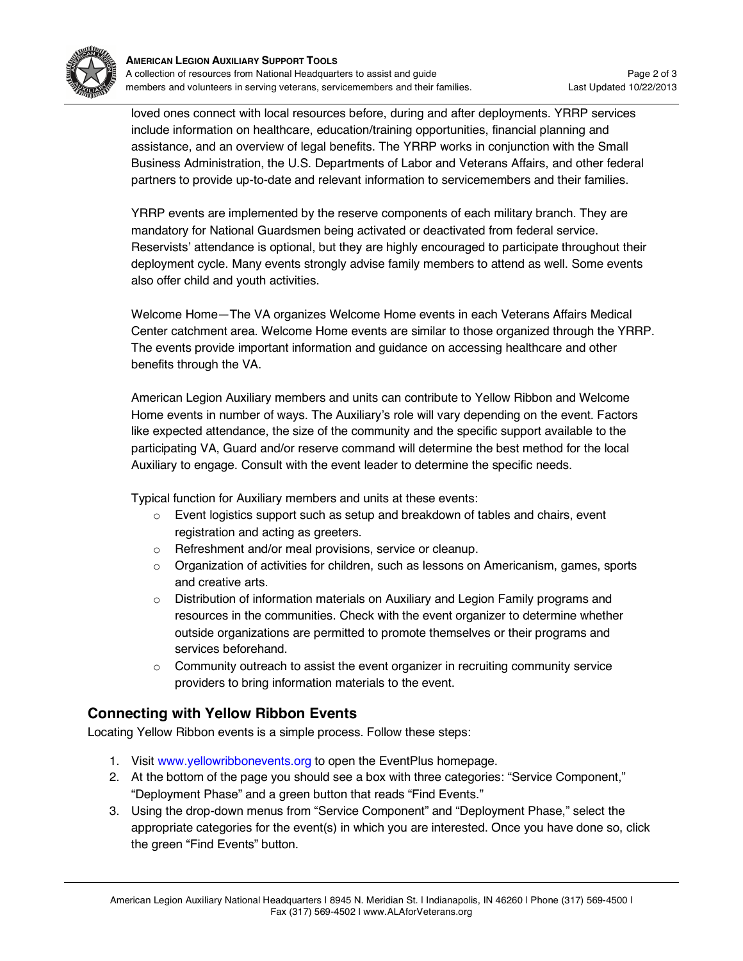

loved ones connect with local resources before, during and after deployments. YRRP services include information on healthcare, education/training opportunities, financial planning and assistance, and an overview of legal benefits. The YRRP works in conjunction with the Small Business Administration, the U.S. Departments of Labor and Veterans Affairs, and other federal partners to provide up-to-date and relevant information to servicemembers and their families.

YRRP events are implemented by the reserve components of each military branch. They are mandatory for National Guardsmen being activated or deactivated from federal service. Reservists' attendance is optional, but they are highly encouraged to participate throughout their deployment cycle. Many events strongly advise family members to attend as well. Some events also offer child and youth activities.

Welcome Home—The VA organizes Welcome Home events in each Veterans Affairs Medical Center catchment area. Welcome Home events are similar to those organized through the YRRP. The events provide important information and guidance on accessing healthcare and other benefits through the VA.

American Legion Auxiliary members and units can contribute to Yellow Ribbon and Welcome Home events in number of ways. The Auxiliary's role will vary depending on the event. Factors like expected attendance, the size of the community and the specific support available to the participating VA, Guard and/or reserve command will determine the best method for the local Auxiliary to engage. Consult with the event leader to determine the specific needs.

Typical function for Auxiliary members and units at these events:

- $\circ$  Event logistics support such as setup and breakdown of tables and chairs, event registration and acting as greeters.
- o Refreshment and/or meal provisions, service or cleanup.
- $\circ$  Organization of activities for children, such as lessons on Americanism, games, sports and creative arts.
- $\circ$  Distribution of information materials on Auxiliary and Legion Family programs and resources in the communities. Check with the event organizer to determine whether outside organizations are permitted to promote themselves or their programs and services beforehand.
- $\circ$  Community outreach to assist the event organizer in recruiting community service providers to bring information materials to the event.

## **Connecting with Yellow Ribbon Events**

Locating Yellow Ribbon events is a simple process. Follow these steps:

- 1. Visit www.yellowribbonevents.org to open the EventPlus homepage.
- 2. At the bottom of the page you should see a box with three categories: "Service Component," "Deployment Phase" and a green button that reads "Find Events."
- 3. Using the drop-down menus from "Service Component" and "Deployment Phase," select the appropriate categories for the event(s) in which you are interested. Once you have done so, click the green "Find Events" button.